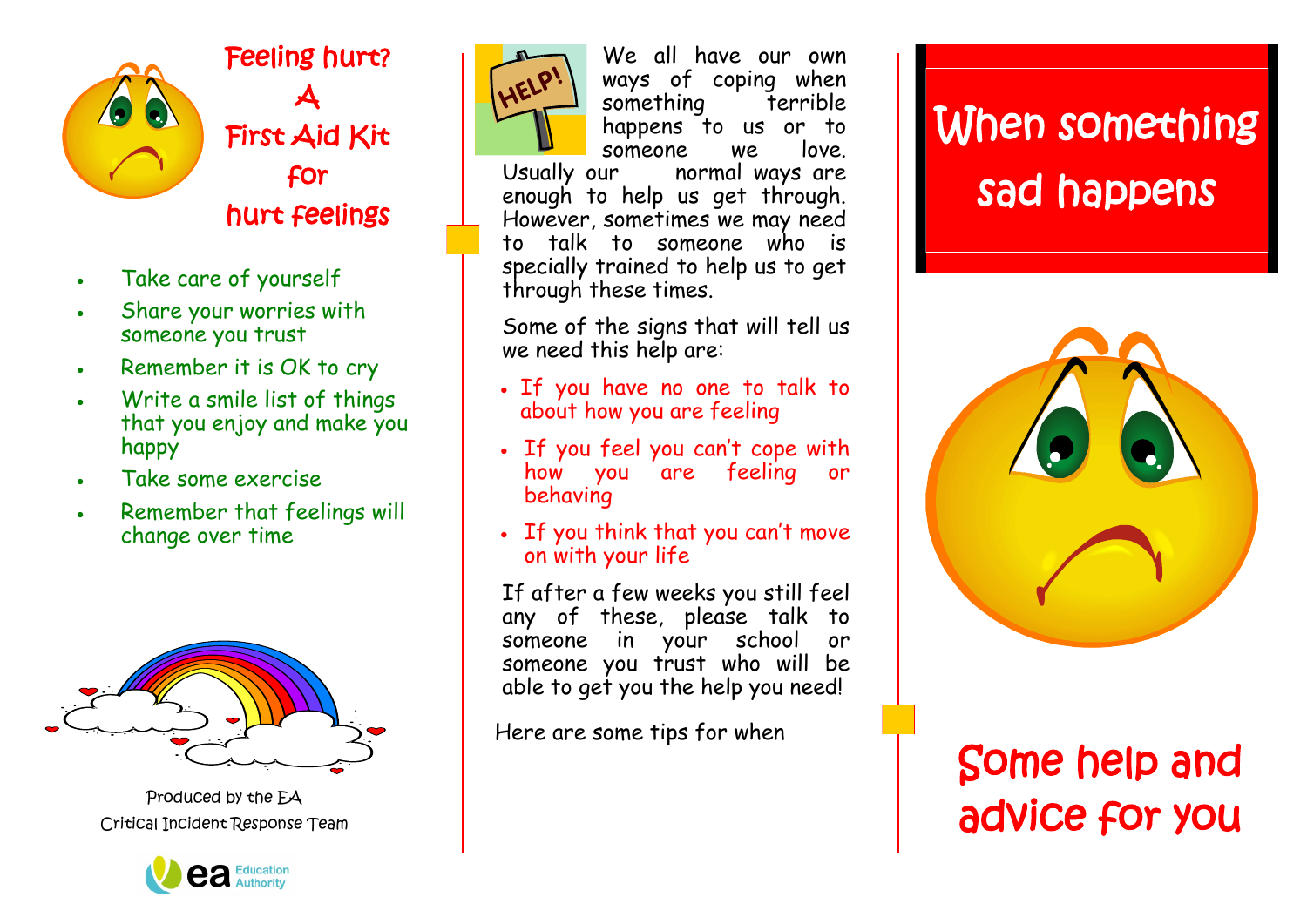

Feeling hurt? A First Aid Kit for hurt feelings

- Take care of yourself
- Share your worries with someone you trust
- Remember it is OK to cry
- Write a smile list of things that you enjoy and make you happy
- Take some exercise
- Remember that feelings will change over time



Produced by the EA Critical Incident Response Team





We all have our own ways of coping when something terrible happens to us or to someone we love. normal ways are enough to help us get through. However, sometimes we may need to talk to someone who is specially trained to help us to get through these times.

Some of the signs that will tell us we need this help are:

- If you have no one to talk to about how you are feeling
- If you feel you can't cope with how you are feeling or behaving
- If you think that you can't move on with your life

If after a few weeks you still feel any of these, please talk to someone in your school or someone you trust who will be able to get you the help you need!

Here are some tips for when

## When something sad happens



## Some help and advice for you